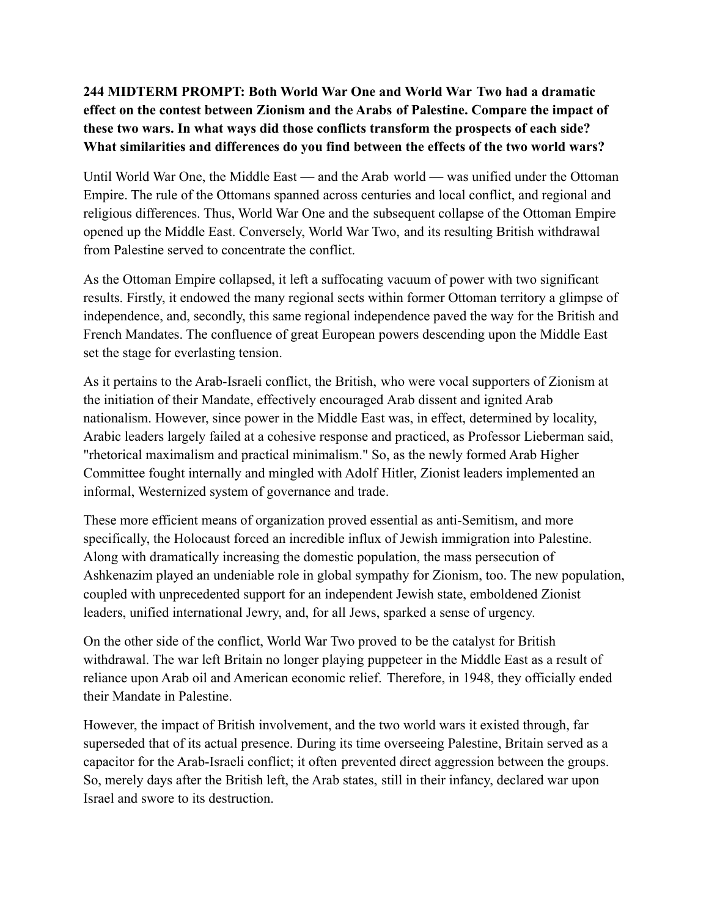## **244 MIDTERM PROMPT: Both World War One and World War Two had a dramatic effect on the contest between Zionism and the Arabs of Palestine. Compare the impact of these two wars. In what ways did those conflicts transform the prospects of each side? What similarities and differences do you find between the effects of the two world wars?**

Until World War One, the Middle East — and the Arab world — was unified under the Ottoman Empire. The rule of the Ottomans spanned across centuries and local conflict, and regional and religious differences. Thus, World War One and the subsequent collapse of the Ottoman Empire opened up the Middle East. Conversely, World War Two, and its resulting British withdrawal from Palestine served to concentrate the conflict.

As the Ottoman Empire collapsed, it left a suffocating vacuum of power with two significant results. Firstly, it endowed the many regional sects within former Ottoman territory a glimpse of independence, and, secondly, this same regional independence paved the way for the British and French Mandates. The confluence of great European powers descending upon the Middle East set the stage for everlasting tension.

As it pertains to the Arab-Israeli conflict, the British, who were vocal supporters of Zionism at the initiation of their Mandate, effectively encouraged Arab dissent and ignited Arab nationalism. However, since power in the Middle East was, in effect, determined by locality, Arabic leaders largely failed at a cohesive response and practiced, as Professor Lieberman said, "rhetorical maximalism and practical minimalism." So, as the newly formed Arab Higher Committee fought internally and mingled with Adolf Hitler, Zionist leaders implemented an informal, Westernized system of governance and trade.

These more efficient means of organization proved essential as anti-Semitism, and more specifically, the Holocaust forced an incredible influx of Jewish immigration into Palestine. Along with dramatically increasing the domestic population, the mass persecution of Ashkenazim played an undeniable role in global sympathy for Zionism, too. The new population, coupled with unprecedented support for an independent Jewish state, emboldened Zionist leaders, unified international Jewry, and, for all Jews, sparked a sense of urgency.

On the other side of the conflict, World War Two proved to be the catalyst for British withdrawal. The war left Britain no longer playing puppeteer in the Middle East as a result of reliance upon Arab oil and American economic relief. Therefore, in 1948, they officially ended their Mandate in Palestine.

However, the impact of British involvement, and the two world wars it existed through, far superseded that of its actual presence. During its time overseeing Palestine, Britain served as a capacitor for the Arab-Israeli conflict; it often prevented direct aggression between the groups. So, merely days after the British left, the Arab states, still in their infancy, declared war upon Israel and swore to its destruction.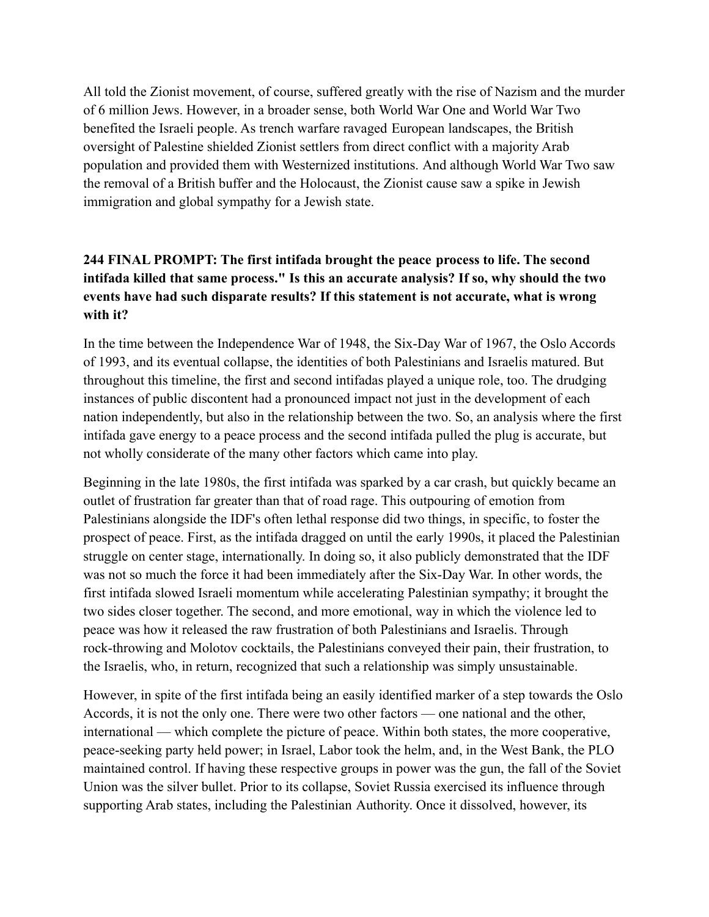All told the Zionist movement, of course, suffered greatly with the rise of Nazism and the murder of 6 million Jews. However, in a broader sense, both World War One and World War Two benefited the Israeli people. As trench warfare ravaged European landscapes, the British oversight of Palestine shielded Zionist settlers from direct conflict with a majority Arab population and provided them with Westernized institutions. And although World War Two saw the removal of a British buffer and the Holocaust, the Zionist cause saw a spike in Jewish immigration and global sympathy for a Jewish state.

## **244 FINAL PROMPT: The first intifada brought the peace process to life. The second intifada killed that same process." Is this an accurate analysis? If so, why should the two events have had such disparate results? If this statement is not accurate, what is wrong with it?**

In the time between the Independence War of 1948, the Six-Day War of 1967, the Oslo Accords of 1993, and its eventual collapse, the identities of both Palestinians and Israelis matured. But throughout this timeline, the first and second intifadas played a unique role, too. The drudging instances of public discontent had a pronounced impact not just in the development of each nation independently, but also in the relationship between the two. So, an analysis where the first intifada gave energy to a peace process and the second intifada pulled the plug is accurate, but not wholly considerate of the many other factors which came into play.

Beginning in the late 1980s, the first intifada was sparked by a car crash, but quickly became an outlet of frustration far greater than that of road rage. This outpouring of emotion from Palestinians alongside the IDF's often lethal response did two things, in specific, to foster the prospect of peace. First, as the intifada dragged on until the early 1990s, it placed the Palestinian struggle on center stage, internationally. In doing so, it also publicly demonstrated that the IDF was not so much the force it had been immediately after the Six-Day War. In other words, the first intifada slowed Israeli momentum while accelerating Palestinian sympathy; it brought the two sides closer together. The second, and more emotional, way in which the violence led to peace was how it released the raw frustration of both Palestinians and Israelis. Through rock-throwing and Molotov cocktails, the Palestinians conveyed their pain, their frustration, to the Israelis, who, in return, recognized that such a relationship was simply unsustainable.

However, in spite of the first intifada being an easily identified marker of a step towards the Oslo Accords, it is not the only one. There were two other factors — one national and the other, international — which complete the picture of peace. Within both states, the more cooperative, peace-seeking party held power; in Israel, Labor took the helm, and, in the West Bank, the PLO maintained control. If having these respective groups in power was the gun, the fall of the Soviet Union was the silver bullet. Prior to its collapse, Soviet Russia exercised its influence through supporting Arab states, including the Palestinian Authority. Once it dissolved, however, its